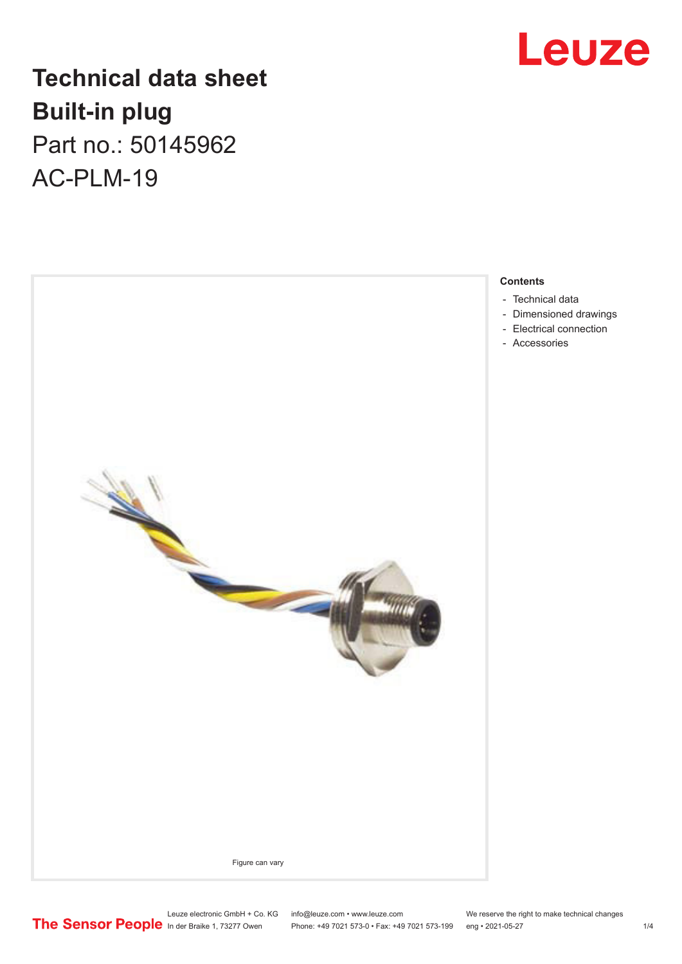# Leuze

## **Technical data sheet Built-in plug** Part no.: 50145962

AC-PLM-19



#### **Contents**

- [Technical data](#page-1-0)
- [Dimensioned drawings](#page-1-0)
- [Electrical connection](#page-1-0)
- [Accessories](#page-2-0)

Phone: +49 7021 573-0 • Fax: +49 7021 573-199 eng • 2021-05-27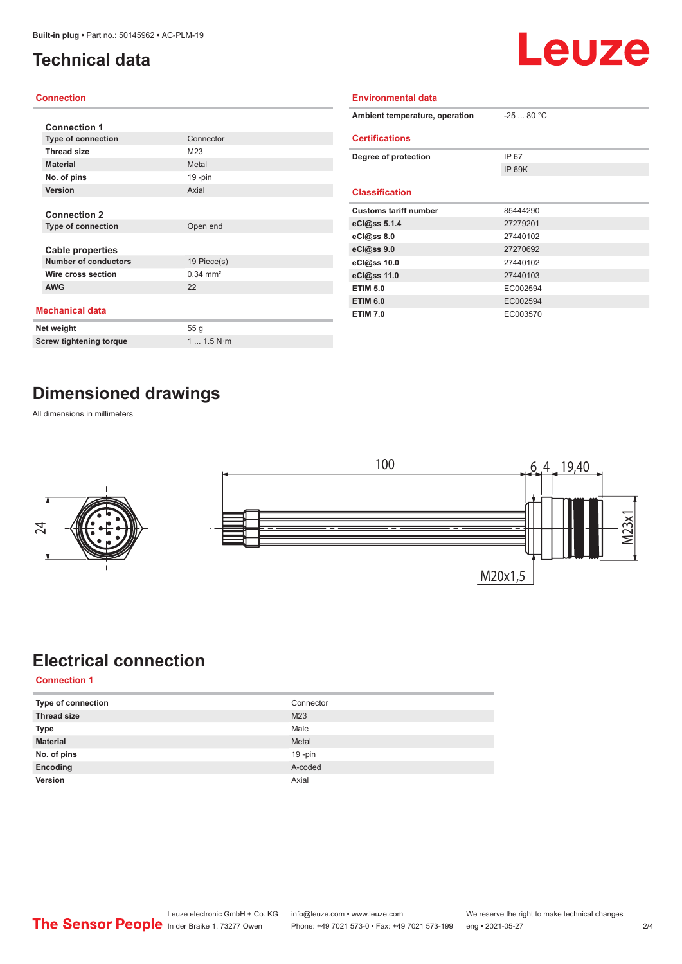## <span id="page-1-0"></span>**Technical data**

# Leuze

#### **Connection**

| <b>Connection 1</b>            |                       |  |  |  |
|--------------------------------|-----------------------|--|--|--|
| <b>Type of connection</b>      | Connector             |  |  |  |
|                                |                       |  |  |  |
| <b>Thread size</b>             | M23                   |  |  |  |
| <b>Material</b>                | Metal                 |  |  |  |
| No. of pins                    | $19 - pin$            |  |  |  |
| <b>Version</b>                 | Axial                 |  |  |  |
|                                |                       |  |  |  |
| <b>Connection 2</b>            |                       |  |  |  |
| <b>Type of connection</b>      | Open end              |  |  |  |
|                                |                       |  |  |  |
| <b>Cable properties</b>        |                       |  |  |  |
| <b>Number of conductors</b>    | 19 Piece(s)           |  |  |  |
| Wire cross section             | $0.34 \, \text{mm}^2$ |  |  |  |
| <b>AWG</b>                     | 22                    |  |  |  |
|                                |                       |  |  |  |
| <b>Mechanical data</b>         |                       |  |  |  |
| Net weight                     | 55 <sub>g</sub>       |  |  |  |
| <b>Screw tightening torque</b> | 1 1.5 N·m             |  |  |  |

| <b>Environmental data</b>      |            |
|--------------------------------|------------|
| Ambient temperature, operation | $-2580 °C$ |
| <b>Certifications</b>          |            |
| Degree of protection           | IP 67      |
|                                | IP 69K     |
|                                |            |
| <b>Classification</b>          |            |
| <b>Customs tariff number</b>   | 85444290   |
| eCl@ss 5.1.4                   | 27279201   |
| eCl@ss 8.0                     | 27440102   |
| eCl@ss 9.0                     | 27270692   |
| eCl@ss 10.0                    | 27440102   |
| eCl@ss 11.0                    | 27440103   |
| <b>ETIM 5.0</b>                | EC002594   |
| <b>ETIM 6.0</b>                | EC002594   |
| <b>ETIM 7.0</b>                | EC003570   |

#### **Dimensioned drawings**

All dimensions in millimeters



## **Electrical connection**

**Connection 1**

| Type of connection | Connector       |
|--------------------|-----------------|
| <b>Thread size</b> | M <sub>23</sub> |
| <b>Type</b>        | Male            |
| <b>Material</b>    | Metal           |
| No. of pins        | $19 - pin$      |
| Encoding           | A-coded         |
| Version            | Axial           |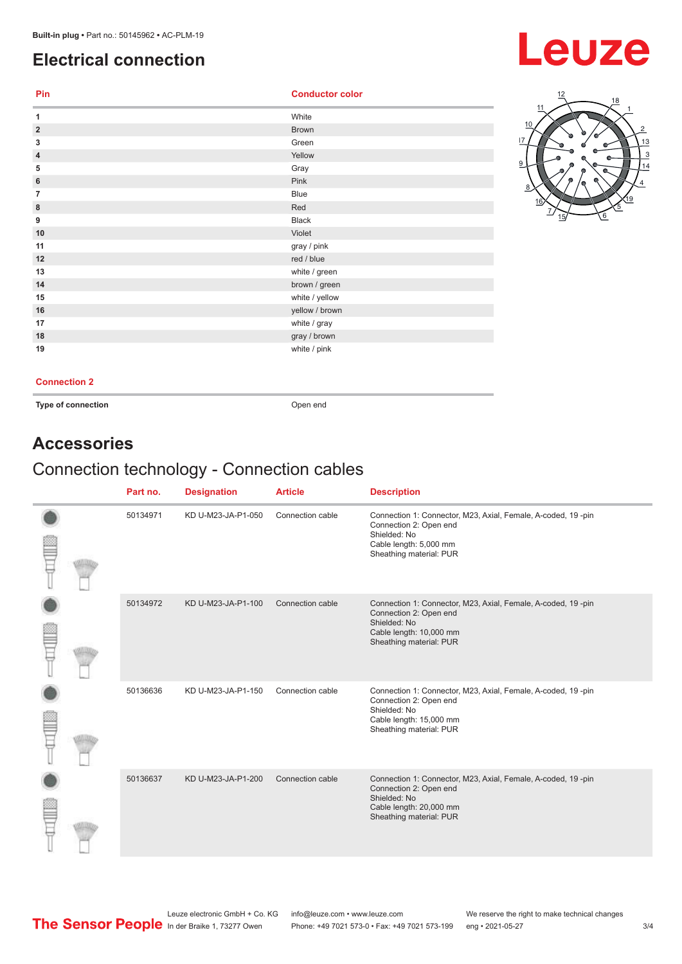### <span id="page-2-0"></span>**Electrical connection**

## **Leuze**

| Pin            | <b>Conductor color</b> |
|----------------|------------------------|
| 1              | White                  |
| $\overline{2}$ | <b>Brown</b>           |
| 3              | Green                  |
| 4              | Yellow                 |
| 5              | Gray                   |
| 6              | Pink                   |
| 7              | <b>Blue</b>            |
| $\bf 8$        | Red                    |
| 9              | Black                  |
| 10             | Violet                 |
| 11             | gray / pink            |
| 12             | red / blue             |
| 13             | white / green          |
| 14             | brown / green          |
| 15             | white / yellow         |
| 16             | yellow / brown         |
| 17             | white / gray           |
| 18             | gray / brown           |
| 19             | white / pink           |



#### **Connection 2**

**Type of connection Open end** 

#### **Accessories**

#### Connection technology - Connection cables

|  | Part no. | <b>Designation</b> | <b>Article</b>   | <b>Description</b>                                                                                                                                           |
|--|----------|--------------------|------------------|--------------------------------------------------------------------------------------------------------------------------------------------------------------|
|  | 50134971 | KD U-M23-JA-P1-050 | Connection cable | Connection 1: Connector, M23, Axial, Female, A-coded, 19-pin<br>Connection 2: Open end<br>Shielded: No<br>Cable length: 5,000 mm<br>Sheathing material: PUR  |
|  | 50134972 | KD U-M23-JA-P1-100 | Connection cable | Connection 1: Connector, M23, Axial, Female, A-coded, 19-pin<br>Connection 2: Open end<br>Shielded: No<br>Cable length: 10,000 mm<br>Sheathing material: PUR |
|  | 50136636 | KD U-M23-JA-P1-150 | Connection cable | Connection 1: Connector, M23, Axial, Female, A-coded, 19-pin<br>Connection 2: Open end<br>Shielded: No<br>Cable length: 15,000 mm<br>Sheathing material: PUR |
|  | 50136637 | KD U-M23-JA-P1-200 | Connection cable | Connection 1: Connector, M23, Axial, Female, A-coded, 19-pin<br>Connection 2: Open end<br>Shielded: No<br>Cable length: 20,000 mm<br>Sheathing material: PUR |